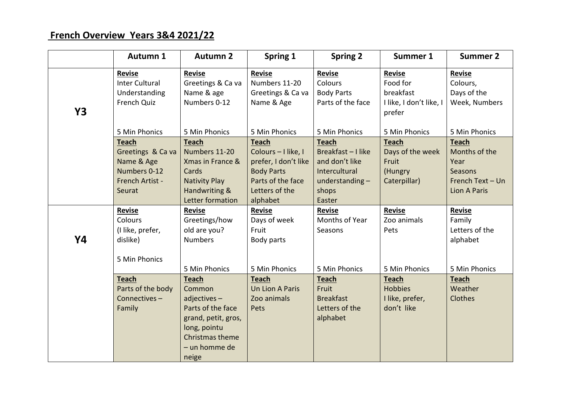## **French Overview Years 3&4 2021/22**

|    | Autumn 1                                                                                     | <b>Autumn 2</b>                                                                                                                            | Spring 1                                                                                                                            | <b>Spring 2</b>                                                                                          | Summer 1                                                             | <b>Summer 2</b>                                                                      |
|----|----------------------------------------------------------------------------------------------|--------------------------------------------------------------------------------------------------------------------------------------------|-------------------------------------------------------------------------------------------------------------------------------------|----------------------------------------------------------------------------------------------------------|----------------------------------------------------------------------|--------------------------------------------------------------------------------------|
| Y3 | Revise<br><b>Inter Cultural</b><br>Understanding<br>French Quiz                              | Revise<br>Greetings & Ca va<br>Name & age<br>Numbers 0-12                                                                                  | Revise<br>Numbers 11-20<br>Greetings & Ca va<br>Name & Age                                                                          | Revise<br>Colours<br><b>Body Parts</b><br>Parts of the face                                              | Revise<br>Food for<br>breakfast<br>I like, I don't like, I<br>prefer | Revise<br>Colours,<br>Days of the<br>Week, Numbers                                   |
|    | 5 Min Phonics                                                                                | 5 Min Phonics                                                                                                                              | 5 Min Phonics                                                                                                                       | 5 Min Phonics                                                                                            | 5 Min Phonics                                                        | 5 Min Phonics                                                                        |
|    | <b>Teach</b><br>Greetings & Ca va<br>Name & Age<br>Numbers 0-12<br>French Artist -<br>Seurat | <b>Teach</b><br>Numbers 11-20<br>Xmas in France &<br>Cards<br><b>Nativity Play</b><br>Handwriting &<br>Letter formation                    | <b>Teach</b><br>Colours - I like, I<br>prefer, I don't like<br><b>Body Parts</b><br>Parts of the face<br>Letters of the<br>alphabet | <b>Teach</b><br>Breakfast-I like<br>and don't like<br>Intercultural<br>understanding-<br>shops<br>Easter | <b>Teach</b><br>Days of the week<br>Fruit<br>(Hungry<br>Caterpillar) | Teach<br>Months of the<br>Year<br>Seasons<br>French Text - Un<br><b>Lion A Paris</b> |
|    | Revise<br>Colours<br>(I like, prefer,                                                        | <b>Revise</b><br>Greetings/how<br>old are you?                                                                                             | <b>Revise</b><br>Days of week<br>Fruit                                                                                              | <b>Revise</b><br>Months of Year<br>Seasons                                                               | <b>Revise</b><br>Zoo animals<br>Pets                                 | Revise<br>Family<br>Letters of the                                                   |
| Y4 | dislike)<br>5 Min Phonics                                                                    | <b>Numbers</b><br>5 Min Phonics                                                                                                            | Body parts<br>5 Min Phonics                                                                                                         | 5 Min Phonics                                                                                            | 5 Min Phonics                                                        | alphabet<br>5 Min Phonics                                                            |
|    | <b>Teach</b><br>Parts of the body<br>Connectives-<br>Family                                  | Teach<br>Common<br>$adjectives -$<br>Parts of the face<br>grand, petit, gros,<br>long, pointu<br>Christmas theme<br>- un homme de<br>neige | <b>Teach</b><br>Un Lion A Paris<br>Zoo animals<br>Pets                                                                              | Teach<br>Fruit<br><b>Breakfast</b><br>Letters of the<br>alphabet                                         | <b>Teach</b><br><b>Hobbies</b><br>I like, prefer,<br>don't like      | <b>Teach</b><br>Weather<br>Clothes                                                   |